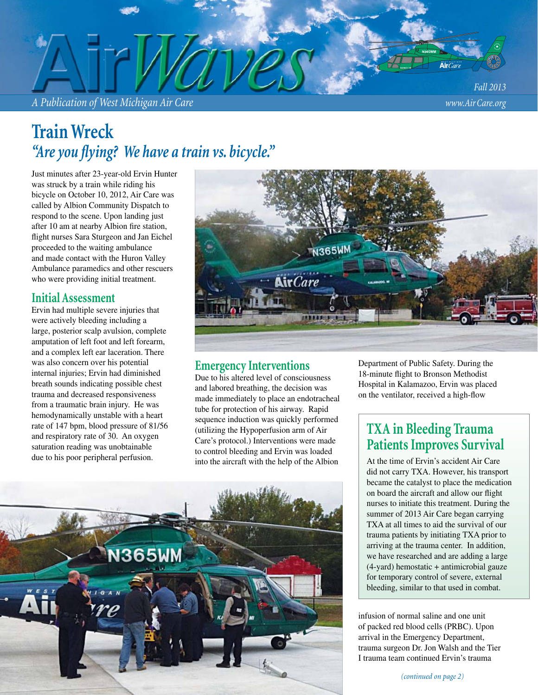*A Publication of West Michigan Air Care www.Air Care.org*

*Fall 2013*

## **Train Wreck** "Are you flying? We have a train vs. bicycle."

Just minutes after 23-year-old Ervin Hunter was struck by a train while riding his bicycle on October 10, 2012, Air Care was called by Albion Community Dispatch to respond to the scene. Upon landing just after 10 am at nearby Albion fire station, flight nurses Sara Sturgeon and Jan Eichel proceeded to the waiting ambulance and made contact with the Huron Valley Ambulance paramedics and other rescuers who were providing initial treatment.

#### **Initial Assessment**

Ervin had multiple severe injuries that were actively bleeding including a large, posterior scalp avulsion, complete amputation of left foot and left forearm, and a complex left ear laceration. There was also concern over his potential internal injuries; Ervin had diminished breath sounds indicating possible chest trauma and decreased responsiveness from a traumatic brain injury. He was hemodynamically unstable with a heart rate of 147 bpm, blood pressure of 81/56 and respiratory rate of 30. An oxygen saturation reading was unobtainable due to his poor peripheral perfusion.



### **Emergency Interventions**

Due to his altered level of consciousness and labored breathing, the decision was made immediately to place an endotracheal tube for protection of his airway. Rapid sequence induction was quickly performed (utilizing the Hypoperfusion arm of Air Care's protocol.) Interventions were made to control bleeding and Ervin was loaded into the aircraft with the help of the Albion



Department of Public Safety. During the 18-minute flight to Bronson Methodist Hospital in Kalamazoo, Ervin was placed on the ventilator, received a high-flow

### **TXA in Bleeding Trauma Patients Improves Survival**

At the time of Ervin's accident Air Care did not carry TXA. However, his transport became the catalyst to place the medication on board the aircraft and allow our flight nurses to initiate this treatment. During the summer of 2013 Air Care began carrying TXA at all times to aid the survival of our trauma patients by initiating TXA prior to arriving at the trauma center. In addition, we have researched and are adding a large (4-yard) hemostatic + antimicrobial gauze for temporary control of severe, external bleeding, similar to that used in combat.

infusion of normal saline and one unit of packed red blood cells (PRBC). Upon arrival in the Emergency Department, trauma surgeon Dr. Jon Walsh and the Tier I trauma team continued Ervin's trauma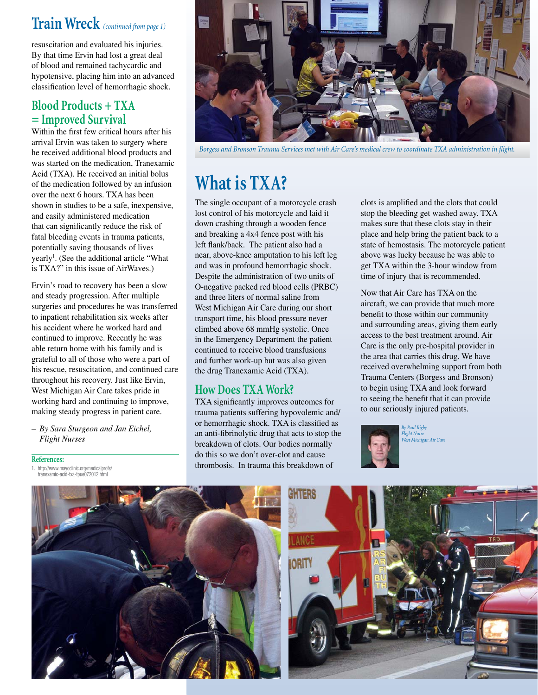### **Train Wreck** *(continued from page 1)*

resuscitation and evaluated his injuries. By that time Ervin had lost a great deal of blood and remained tachycardic and hypotensive, placing him into an advanced classification level of hemorrhagic shock.

### **Blood Products + TXA = Improved Survival**

Within the first few critical hours after his arrival Ervin was taken to surgery where he received additional blood products and was started on the medication, Tranexamic Acid (TXA). He received an initial bolus of the medication followed by an infusion over the next 6 hours. TXA has been shown in studies to be a safe, inexpensive, and easily administered medication that can significantly reduce the risk of fatal bleeding events in trauma patients, potentially saving thousands of lives yearly<sup>1</sup>. (See the additional article "What is TXA?" in this issue of AirWaves.)

Ervin's road to recovery has been a slow and steady progression. After multiple surgeries and procedures he was transferred to inpatient rehabilitation six weeks after his accident where he worked hard and continued to improve. Recently he was able return home with his family and is grateful to all of those who were a part of his rescue, resuscitation, and continued care throughout his recovery. Just like Ervin, West Michigan Air Care takes pride in working hard and continuing to improve, making steady progress in patient care.

*– By Sara Sturgeon and Jan Eichel, Flight Nurses*

#### **References:**

1. http://www.mayoclinic.org/medicalprofs/ tranexamic-acid-txa-tpue072012.html



Borgess and Bronson Trauma Services met with Air Care's medical crew to coordinate TXA administration in flight.

# **What is TXA?**

The single occupant of a motorcycle crash lost control of his motorcycle and laid it down crashing through a wooden fence and breaking a 4x4 fence post with his left flank/back. The patient also had a near, above-knee amputation to his left leg and was in profound hemorrhagic shock. Despite the administration of two units of O-negative packed red blood cells (PRBC) and three liters of normal saline from West Michigan Air Care during our short transport time, his blood pressure never climbed above 68 mmHg systolic. Once in the Emergency Department the patient continued to receive blood transfusions and further work-up but was also given the drug Tranexamic Acid (TXA).

### **How Does TXA Work?**

TXA significantly improves outcomes for trauma patients suffering hypovolemic and/ or hemorrhagic shock. TXA is classified as an anti-fibrinolytic drug that acts to stop the breakdown of clots. Our bodies normally do this so we don't over-clot and cause thrombosis. In trauma this breakdown of

clots is amplified and the clots that could stop the bleeding get washed away. TXA makes sure that these clots stay in their place and help bring the patient back to a state of hemostasis. The motorcycle patient above was lucky because he was able to get TXA within the 3-hour window from time of injury that is recommended.

Now that Air Care has TXA on the aircraft, we can provide that much more benefit to those within our community and surrounding areas, giving them early access to the best treatment around. Air Care is the only pre-hospital provider in the area that carries this drug. We have received overwhelming support from both Trauma Centers (Borgess and Bronson) to begin using TXA and look forward to seeing the benefit that it can provide to our seriously injured patients.



*By Paul Rigby Flight Nurse West Michigan Air Care*



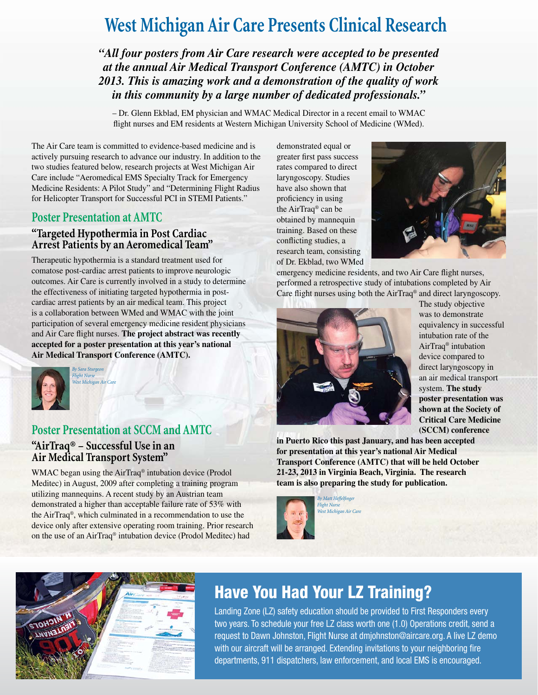# **West Michigan Air Care Presents Clinical Research**

*"All four posters from Air Care research were accepted to be presented at the annual Air Medical Transport Conference (AMTC) in October 2013. This is amazing work and a demonstration of the quality of work in this community by a large number of dedicated professionals."*

– Dr. Glenn Ekblad, EM physician and WMAC Medical Director in a recent email to WMAC flight nurses and EM residents at Western Michigan University School of Medicine (WMed).

The Air Care team is committed to evidence-based medicine and is actively pursuing research to advance our industry. In addition to the two studies featured below, research projects at West Michigan Air Care include "Aeromedical EMS Specialty Track for Emergency Medicine Residents: A Pilot Study" and "Determining Flight Radius for Helicopter Transport for Successful PCI in STEMI Patients."

#### **Poster Presentation at AMTC**

#### **"Targeted Hypothermia in Post Cardiac Arrest Patients by an Aeromedical Team"**

Therapeutic hypothermia is a standard treatment used for comatose post-cardiac arrest patients to improve neurologic outcomes. Air Care is currently involved in a study to determine the effectiveness of initiating targeted hypothermia in postcardiac arrest patients by an air medical team. This project is a collaboration between WMed and WMAC with the joint participation of several emergency medicine resident physicians and Air Care flight nurses. The project abstract was recently **accepted for a poster presentation at this year's national Air Medical Transport Conference (AMTC).** 



*By Sara Sturgeon Flight Nurse West Michigan Air Care*

### **Poster Presentation at SCCM and AMTC "AirTraq® – Successful Use in an Air Medical Transport System"**

WMAC began using the AirTraq® intubation device (Prodol Meditec) in August, 2009 after completing a training program utilizing mannequins. A recent study by an Austrian team demonstrated a higher than acceptable failure rate of 53% with the AirTraq®, which culminated in a recommendation to use the device only after extensive operating room training. Prior research on the use of an AirTraq® intubation device (Prodol Meditec) had

demonstrated equal or greater first pass success rates compared to direct laryngoscopy. Studies have also shown that proficiency in using the AirTraq® can be obtained by mannequin training. Based on these conflicting studies, a research team, consisting of Dr. Ekblad, two WMed



emergency medicine residents, and two Air Care flight nurses, performed a retrospective study of intubations completed by Air Care flight nurses using both the AirTraq<sup>®</sup> and direct laryngoscopy.



The study objective was to demonstrate equivalency in successful intubation rate of the AirTraq® intubation device compared to direct laryngoscopy in an air medical transport system. **The study poster presentation was shown at the Society of Critical Care Medicine (SCCM) conference** 

**in Puerto Rico this past January, and has been accepted for presentation at this year's national Air Medical Transport Conference (AMTC) that will be held October 21-23, 2013 in Virginia Beach, Virginia. The research team is also preparing the study for publication.**



**By Matt Heffelfinger** *Flight Nurse West Michigan Air Care*



### **Have You Had Your LZ Training?**

Landing Zone (LZ) safety education should be provided to First Responders every two years. To schedule your free LZ class worth one (1.0) Operations credit, send a request to Dawn Johnston, Flight Nurse at dmjohnston@aircare.org. A live LZ demo with our aircraft will be arranged. Extending invitations to your neighboring fire departments, 911 dispatchers, law enforcement, and local EMS is encouraged.